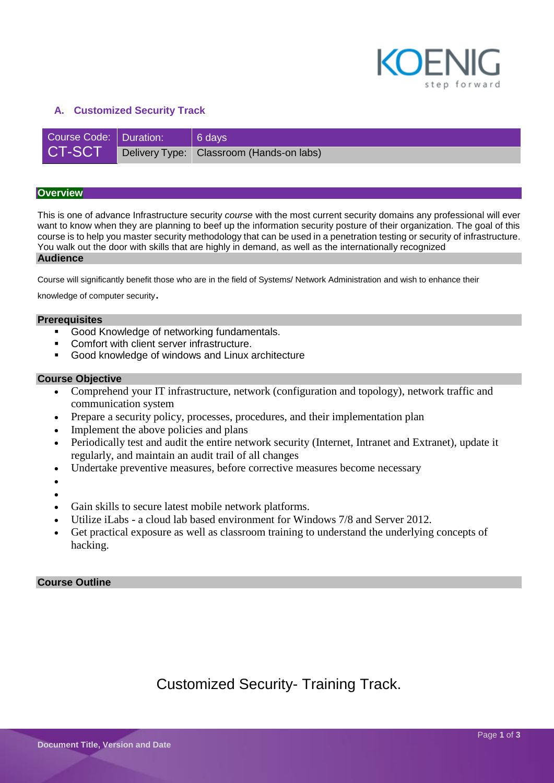

#### **A. Customized Security Track**

| Course Code: Duration: | $ 6$ days                                |
|------------------------|------------------------------------------|
| <b>CT-SCT</b>          | Delivery Type: Classroom (Hands-on labs) |

#### **Overview**

This is one of advance Infrastructure security *course* with the most current security domains any professional will ever want to know when they are planning to beef up the information security posture of their organization. The goal of this course is to help you master security methodology that can be used in a penetration testing or security of infrastructure. You walk out the door with skills that are highly in demand, as well as the internationally recognized **Audience**

Course will significantly benefit those who are in the field of Systems/ Network Administration and wish to enhance their

knowledge of computer security.

#### **Prerequisites**

- Good Knowledge of networking fundamentals.
- **Comfort with client server infrastructure.**
- Good knowledge of windows and Linux architecture

#### **Course Objective**

- Comprehend your IT infrastructure, network (configuration and topology), network traffic and communication system
- Prepare a security policy, processes, procedures, and their implementation plan
- Implement the above policies and plans
- Periodically test and audit the entire network security (Internet, Intranet and Extranet), update it regularly, and maintain an audit trail of all changes
- Undertake preventive measures, before corrective measures become necessary
- $\bullet$
- $\bullet$
- Gain skills to secure latest mobile network platforms.
- Utilize iLabs a cloud lab based environment for Windows 7/8 and Server 2012.
- Get practical exposure as well as classroom training to understand the underlying concepts of hacking.

#### **Course Outline**

Customized Security- Training Track.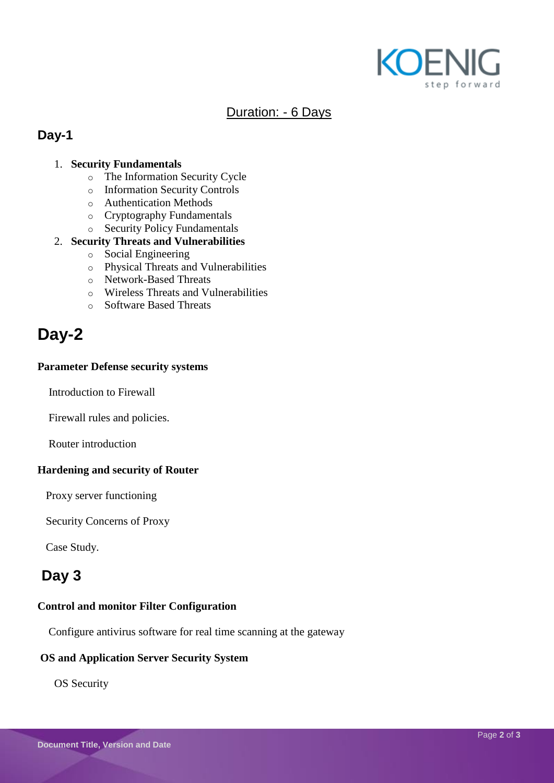

# Duration: - 6 Days

## **Day-1**

### 1. **Security Fundamentals**

- o The Information Security Cycle
- o Information Security Controls
- o Authentication Methods
- o Cryptography Fundamentals
- o Security Policy Fundamentals

#### 2. **Security Threats and Vulnerabilities**

- o Social Engineering
- o Physical Threats and Vulnerabilities
- o Network-Based Threats
- o Wireless Threats and Vulnerabilities
- o Software Based Threats

# **Day-2**

#### **Parameter Defense security systems**

Introduction to Firewall

Firewall rules and policies.

Router introduction

#### **Hardening and security of Router**

Proxy server functioning

Security Concerns of Proxy

Case Study.

# **Day 3**

#### **Control and monitor Filter Configuration**

Configure antivirus software for real time scanning at the gateway

#### **OS and Application Server Security System**

OS Security